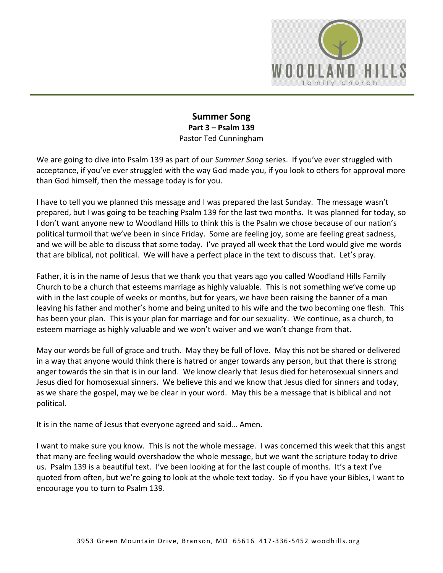

#### **Summer Song Part 3 – Psalm 139**  Pastor Ted Cunningham

We are going to dive into Psalm 139 as part of our *Summer Song* series. If you've ever struggled with acceptance, if you've ever struggled with the way God made you, if you look to others for approval more than God himself, then the message today is for you.

I have to tell you we planned this message and I was prepared the last Sunday. The message wasn't prepared, but I was going to be teaching Psalm 139 for the last two months. It was planned for today, so I don't want anyone new to Woodland Hills to think this is the Psalm we chose because of our nation's political turmoil that we've been in since Friday. Some are feeling joy, some are feeling great sadness, and we will be able to discuss that some today. I've prayed all week that the Lord would give me words that are biblical, not political. We will have a perfect place in the text to discuss that. Let's pray.

Father, it is in the name of Jesus that we thank you that years ago you called Woodland Hills Family Church to be a church that esteems marriage as highly valuable. This is not something we've come up with in the last couple of weeks or months, but for years, we have been raising the banner of a man leaving his father and mother's home and being united to his wife and the two becoming one flesh. This has been your plan. This is your plan for marriage and for our sexuality. We continue, as a church, to esteem marriage as highly valuable and we won't waiver and we won't change from that.

May our words be full of grace and truth. May they be full of love. May this not be shared or delivered in a way that anyone would think there is hatred or anger towards any person, but that there is strong anger towards the sin that is in our land. We know clearly that Jesus died for heterosexual sinners and Jesus died for homosexual sinners. We believe this and we know that Jesus died for sinners and today, as we share the gospel, may we be clear in your word. May this be a message that is biblical and not political.

It is in the name of Jesus that everyone agreed and said… Amen.

I want to make sure you know. This is not the whole message. I was concerned this week that this angst that many are feeling would overshadow the whole message, but we want the scripture today to drive us. Psalm 139 is a beautiful text. I've been looking at for the last couple of months. It's a text I've quoted from often, but we're going to look at the whole text today. So if you have your Bibles, I want to encourage you to turn to Psalm 139.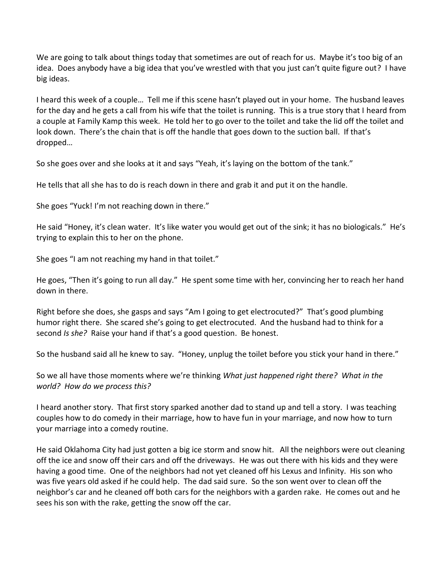We are going to talk about things today that sometimes are out of reach for us. Maybe it's too big of an idea. Does anybody have a big idea that you've wrestled with that you just can't quite figure out? I have big ideas.

I heard this week of a couple… Tell me if this scene hasn't played out in your home. The husband leaves for the day and he gets a call from his wife that the toilet is running. This is a true story that I heard from a couple at Family Kamp this week. He told her to go over to the toilet and take the lid off the toilet and look down. There's the chain that is off the handle that goes down to the suction ball. If that's dropped…

So she goes over and she looks at it and says "Yeah, it's laying on the bottom of the tank."

He tells that all she has to do is reach down in there and grab it and put it on the handle.

She goes "Yuck! I'm not reaching down in there."

He said "Honey, it's clean water. It's like water you would get out of the sink; it has no biologicals." He's trying to explain this to her on the phone.

She goes "I am not reaching my hand in that toilet."

He goes, "Then it's going to run all day." He spent some time with her, convincing her to reach her hand down in there.

Right before she does, she gasps and says "Am I going to get electrocuted?" That's good plumbing humor right there. She scared she's going to get electrocuted. And the husband had to think for a second *Is she?* Raise your hand if that's a good question. Be honest.

So the husband said all he knew to say. "Honey, unplug the toilet before you stick your hand in there."

So we all have those moments where we're thinking *What just happened right there? What in the world? How do we process this?* 

I heard another story. That first story sparked another dad to stand up and tell a story. I was teaching couples how to do comedy in their marriage, how to have fun in your marriage, and now how to turn your marriage into a comedy routine.

He said Oklahoma City had just gotten a big ice storm and snow hit. All the neighbors were out cleaning off the ice and snow off their cars and off the driveways. He was out there with his kids and they were having a good time. One of the neighbors had not yet cleaned off his Lexus and Infinity. His son who was five years old asked if he could help. The dad said sure. So the son went over to clean off the neighbor's car and he cleaned off both cars for the neighbors with a garden rake. He comes out and he sees his son with the rake, getting the snow off the car.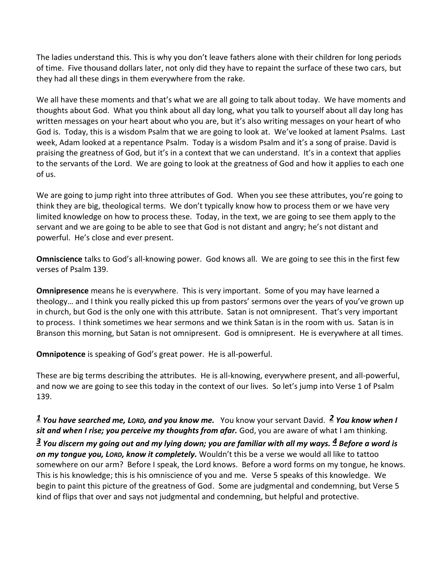The ladies understand this. This is why you don't leave fathers alone with their children for long periods of time. Five thousand dollars later, not only did they have to repaint the surface of these two cars, but they had all these dings in them everywhere from the rake.

We all have these moments and that's what we are all going to talk about today. We have moments and thoughts about God. What you think about all day long, what you talk to yourself about all day long has written messages on your heart about who you are, but it's also writing messages on your heart of who God is. Today, this is a wisdom Psalm that we are going to look at. We've looked at lament Psalms. Last week, Adam looked at a repentance Psalm. Today is a wisdom Psalm and it's a song of praise. David is praising the greatness of God, but it's in a context that we can understand. It's in a context that applies to the servants of the Lord. We are going to look at the greatness of God and how it applies to each one of us.

We are going to jump right into three attributes of God. When you see these attributes, you're going to think they are big, theological terms. We don't typically know how to process them or we have very limited knowledge on how to process these. Today, in the text, we are going to see them apply to the servant and we are going to be able to see that God is not distant and angry; he's not distant and powerful. He's close and ever present.

**Omniscience** talks to God's all-knowing power. God knows all. We are going to see this in the first few verses of Psalm 139.

**Omnipresence** means he is everywhere. This is very important. Some of you may have learned a theology… and I think you really picked this up from pastors' sermons over the years of you've grown up in church, but God is the only one with this attribute. Satan is not omnipresent. That's very important to process. I think sometimes we hear sermons and we think Satan is in the room with us. Satan is in Branson this morning, but Satan is not omnipresent. God is omnipresent. He is everywhere at all times.

**Omnipotence** is speaking of God's great power. He is all-powerful.

These are big terms describing the attributes. He is all-knowing, everywhere present, and all-powerful, and now we are going to see this today in the context of our lives. So let's jump into Verse 1 of Psalm 139.

# *[1](http://www.studylight.org/desk/?q=ps%20139:1&t1=en_niv&sr=1) You have searched me, LORD, and you know me.* You know your servant David. *[2](http://www.studylight.org/desk/?q=ps%20139:2&t1=en_niv&sr=1) You know when I*  sit and when I rise; you perceive my thoughts from afar. God, you are aware of what I am thinking.

*[3](http://www.studylight.org/desk/?q=ps%20139:3&t1=en_niv&sr=1) You discern my going out and my lying down; you are familiar with all my ways. [4](http://www.studylight.org/desk/?q=ps%20139:4&t1=en_niv&sr=1) Before a word is on my tongue you, LORD, know it completely.* Wouldn't this be a verse we would all like to tattoo somewhere on our arm? Before I speak, the Lord knows. Before a word forms on my tongue, he knows. This is his knowledge; this is his omniscience of you and me. Verse 5 speaks of this knowledge. We begin to paint this picture of the greatness of God. Some are judgmental and condemning, but Verse 5 kind of flips that over and says not judgmental and condemning, but helpful and protective.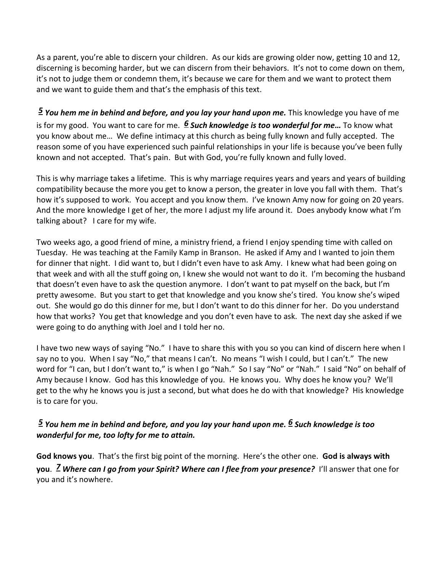As a parent, you're able to discern your children. As our kids are growing older now, getting 10 and 12, discerning is becoming harder, but we can discern from their behaviors. It's not to come down on them, it's not to judge them or condemn them, it's because we care for them and we want to protect them and we want to guide them and that's the emphasis of this text.

*[5](http://www.studylight.org/desk/?q=ps%20139:5&t1=en_niv&sr=1) You hem me in behind and before, and you lay your hand upon me.* This knowledge you have of me is for my good. You want to care for me. *[6](http://www.studylight.org/desk/?q=ps%20139:6&t1=en_niv&sr=1) Such knowledge is too wonderful for me…* To know what you know about me… We define intimacy at this church as being fully known and fully accepted. The reason some of you have experienced such painful relationships in your life is because you've been fully known and not accepted. That's pain. But with God, you're fully known and fully loved.

This is why marriage takes a lifetime. This is why marriage requires years and years and years of building compatibility because the more you get to know a person, the greater in love you fall with them. That's how it's supposed to work. You accept and you know them. I've known Amy now for going on 20 years. And the more knowledge I get of her, the more I adjust my life around it. Does anybody know what I'm talking about? I care for my wife.

Two weeks ago, a good friend of mine, a ministry friend, a friend I enjoy spending time with called on Tuesday. He was teaching at the Family Kamp in Branson. He asked if Amy and I wanted to join them for dinner that night. I did want to, but I didn't even have to ask Amy. I knew what had been going on that week and with all the stuff going on, I knew she would not want to do it. I'm becoming the husband that doesn't even have to ask the question anymore. I don't want to pat myself on the back, but I'm pretty awesome. But you start to get that knowledge and you know she's tired. You know she's wiped out. She would go do this dinner for me, but I don't want to do this dinner for her. Do you understand how that works? You get that knowledge and you don't even have to ask. The next day she asked if we were going to do anything with Joel and I told her no.

I have two new ways of saying "No." I have to share this with you so you can kind of discern here when I say no to you. When I say "No," that means I can't. No means "I wish I could, but I can't." The new word for "I can, but I don't want to," is when I go "Nah." So I say "No" or "Nah." I said "No" on behalf of Amy because I know. God has this knowledge of you. He knows you. Why does he know you? We'll get to the why he knows you is just a second, but what does he do with that knowledge? His knowledge is to care for you.

# *[5](http://www.studylight.org/desk/?q=ps%20139:5&t1=en_niv&sr=1) You hem me in behind and before, and you lay your hand upon me. [6](http://www.studylight.org/desk/?q=ps%20139:6&t1=en_niv&sr=1) Such knowledge is too wonderful for me, too lofty for me to attain.*

**God knows you**. That's the first big point of the morning. Here's the other one. **God is always with you**. *[7](http://www.studylight.org/desk/?q=ps%20139:7&t1=en_niv&sr=1) Where can I go from your Spirit? Where can I flee from your presence?* I'll answer that one for you and it's nowhere.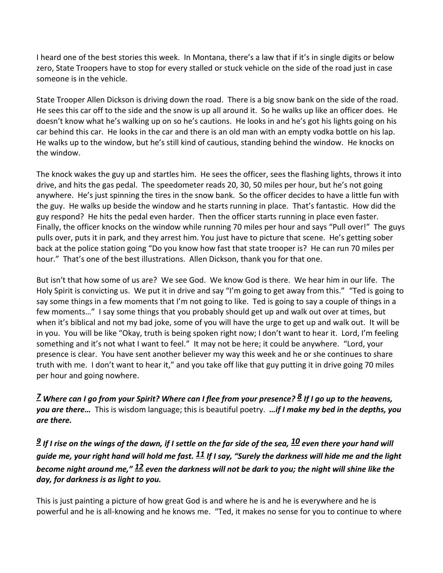I heard one of the best stories this week. In Montana, there's a law that if it's in single digits or below zero, State Troopers have to stop for every stalled or stuck vehicle on the side of the road just in case someone is in the vehicle.

State Trooper Allen Dickson is driving down the road. There is a big snow bank on the side of the road. He sees this car off to the side and the snow is up all around it. So he walks up like an officer does. He doesn't know what he's walking up on so he's cautions. He looks in and he's got his lights going on his car behind this car. He looks in the car and there is an old man with an empty vodka bottle on his lap. He walks up to the window, but he's still kind of cautious, standing behind the window. He knocks on the window.

The knock wakes the guy up and startles him. He sees the officer, sees the flashing lights, throws it into drive, and hits the gas pedal. The speedometer reads 20, 30, 50 miles per hour, but he's not going anywhere. He's just spinning the tires in the snow bank. So the officer decides to have a little fun with the guy. He walks up beside the window and he starts running in place. That's fantastic. How did the guy respond? He hits the pedal even harder. Then the officer starts running in place even faster. Finally, the officer knocks on the window while running 70 miles per hour and says "Pull over!" The guys pulls over, puts it in park, and they arrest him. You just have to picture that scene. He's getting sober back at the police station going "Do you know how fast that state trooper is? He can run 70 miles per hour." That's one of the best illustrations. Allen Dickson, thank you for that one.

But isn't that how some of us are? We see God. We know God is there. We hear him in our life. The Holy Spirit is convicting us. We put it in drive and say "I'm going to get away from this." "Ted is going to say some things in a few moments that I'm not going to like. Ted is going to say a couple of things in a few moments…" I say some things that you probably should get up and walk out over at times, but when it's biblical and not my bad joke, some of you will have the urge to get up and walk out. It will be in you. You will be like "Okay, truth is being spoken right now; I don't want to hear it. Lord, I'm feeling something and it's not what I want to feel." It may not be here; it could be anywhere. "Lord, your presence is clear. You have sent another believer my way this week and he or she continues to share truth with me. I don't want to hear it," and you take off like that guy putting it in drive going 70 miles per hour and going nowhere.

*[7](http://www.studylight.org/desk/?q=ps%20139:7&t1=en_niv&sr=1) Where can I go from your Spirit? Where can I flee from your presence? [8](http://www.studylight.org/desk/?q=ps%20139:8&t1=en_niv&sr=1) If I go up to the heavens, you are there…* This is wisdom language; this is beautiful poetry. *…if I make my bed in the depths, you are there.* 

*[9](http://www.studylight.org/desk/?q=ps%20139:9&t1=en_niv&sr=1) If I rise on the wings of the dawn, if I settle on the far side of the sea, [10](http://www.studylight.org/desk/?q=ps%20139:10&t1=en_niv&sr=1) even there your hand will guide me, your right hand will hold me fast. [11](http://www.studylight.org/desk/?q=ps%20139:11&t1=en_niv&sr=1) If I say, "Surely the darkness will hide me and the light become night around me," [12](http://www.studylight.org/desk/?q=ps%20139:12&t1=en_niv&sr=1) even the darkness will not be dark to you; the night will shine like the day, for darkness is as light to you.* 

This is just painting a picture of how great God is and where he is and he is everywhere and he is powerful and he is all-knowing and he knows me. "Ted, it makes no sense for you to continue to where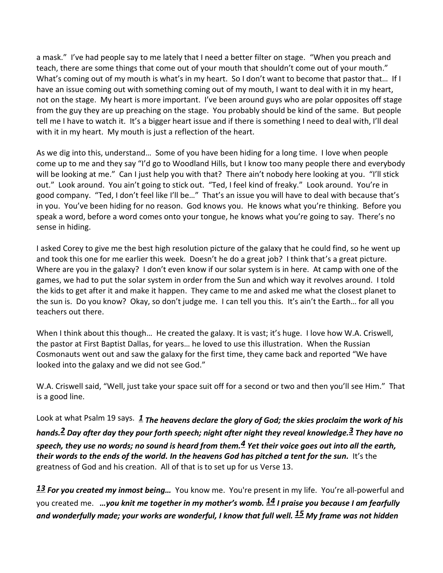a mask." I've had people say to me lately that I need a better filter on stage. "When you preach and teach, there are some things that come out of your mouth that shouldn't come out of your mouth." What's coming out of my mouth is what's in my heart. So I don't want to become that pastor that... If I have an issue coming out with something coming out of my mouth, I want to deal with it in my heart, not on the stage. My heart is more important. I've been around guys who are polar opposites off stage from the guy they are up preaching on the stage. You probably should be kind of the same. But people tell me I have to watch it. It's a bigger heart issue and if there is something I need to deal with, I'll deal with it in my heart. My mouth is just a reflection of the heart.

As we dig into this, understand… Some of you have been hiding for a long time. I love when people come up to me and they say "I'd go to Woodland Hills, but I know too many people there and everybody will be looking at me." Can I just help you with that? There ain't nobody here looking at you. "I'll stick out." Look around. You ain't going to stick out. "Ted, I feel kind of freaky." Look around. You're in good company. "Ted, I don't feel like I'll be…" That's an issue you will have to deal with because that's in you. You've been hiding for no reason. God knows you. He knows what you're thinking. Before you speak a word, before a word comes onto your tongue, he knows what you're going to say. There's no sense in hiding.

I asked Corey to give me the best high resolution picture of the galaxy that he could find, so he went up and took this one for me earlier this week. Doesn't he do a great job? I think that's a great picture. Where are you in the galaxy? I don't even know if our solar system is in here. At camp with one of the games, we had to put the solar system in order from the Sun and which way it revolves around. I told the kids to get after it and make it happen. They came to me and asked me what the closest planet to the sun is. Do you know? Okay, so don't judge me. I can tell you this. It's ain't the Earth… for all you teachers out there.

When I think about this though... He created the galaxy. It is vast; it's huge. I love how W.A. Criswell, the pastor at First Baptist Dallas, for years… he loved to use this illustration. When the Russian Cosmonauts went out and saw the galaxy for the first time, they came back and reported "We have looked into the galaxy and we did not see God."

W.A. Criswell said, "Well, just take your space suit off for a second or two and then you'll see Him." That is a good line.

Look at what Psalm 19 says. *[1](http://www.studylight.org/desk/?q=ps%2019:1&t1=en_niv&sr=1) The heavens declare the glory of God; the skies proclaim the work of his hands[.2](http://www.studylight.org/desk/?q=ps%2019:2&t1=en_niv&sr=1) Day after day they pour forth speech; night after night they reveal knowledge[.3](http://www.studylight.org/desk/?q=ps%2019:3&t1=en_niv&sr=1) They have no speech, they use no words; no sound is heard from them[.4](http://www.studylight.org/desk/?q=ps%2019:4&t1=en_niv&sr=1) Yet their voice goes out into all the earth, their words to the ends of the world. In the heavens God has pitched a tent for the sun.* It's the greatness of God and his creation. All of that is to set up for us Verse 13.

*[13](http://www.studylight.org/desk/?q=ps%20139:13&t1=en_niv&sr=1) For you created my inmost being…* You know me. You're present in my life. You're all-powerful and you created me. *…you knit me together in my mother's womb. [14](http://www.studylight.org/desk/?q=ps%20139:14&t1=en_niv&sr=1) I praise you because I am fearfully and wonderfully made; your works are wonderful, I know that full well. [15](http://www.studylight.org/desk/?q=ps%20139:15&t1=en_niv&sr=1) My frame was not hidden*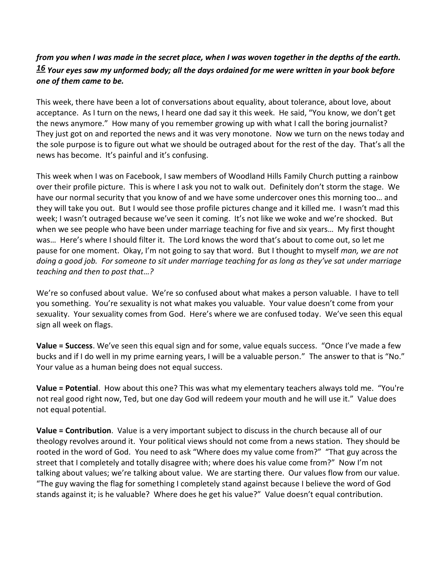# *from you when I was made in the secret place, when I was woven together in the depths of the earth. [16](http://www.studylight.org/desk/?q=ps%20139:16&t1=en_niv&sr=1) Your eyes saw my unformed body; all the days ordained for me were written in your book before one of them came to be.*

This week, there have been a lot of conversations about equality, about tolerance, about love, about acceptance. As I turn on the news, I heard one dad say it this week. He said, "You know, we don't get the news anymore." How many of you remember growing up with what I call the boring journalist? They just got on and reported the news and it was very monotone. Now we turn on the news today and the sole purpose is to figure out what we should be outraged about for the rest of the day. That's all the news has become. It's painful and it's confusing.

This week when I was on Facebook, I saw members of Woodland Hills Family Church putting a rainbow over their profile picture. This is where I ask you not to walk out. Definitely don't storm the stage. We have our normal security that you know of and we have some undercover ones this morning too… and they will take you out. But I would see those profile pictures change and it killed me. I wasn't mad this week; I wasn't outraged because we've seen it coming. It's not like we woke and we're shocked. But when we see people who have been under marriage teaching for five and six years… My first thought was… Here's where I should filter it. The Lord knows the word that's about to come out, so let me pause for one moment. Okay, I'm not going to say that word. But I thought to myself *man, we are not doing a good job. For someone to sit under marriage teaching for as long as they've sat under marriage teaching and then to post that…?* 

We're so confused about value. We're so confused about what makes a person valuable. I have to tell you something. You're sexuality is not what makes you valuable. Your value doesn't come from your sexuality. Your sexuality comes from God. Here's where we are confused today. We've seen this equal sign all week on flags.

**Value = Success**. We've seen this equal sign and for some, value equals success. "Once I've made a few bucks and if I do well in my prime earning years, I will be a valuable person." The answer to that is "No." Your value as a human being does not equal success.

**Value = Potential**. How about this one? This was what my elementary teachers always told me. "You're not real good right now, Ted, but one day God will redeem your mouth and he will use it." Value does not equal potential.

**Value = Contribution**. Value is a very important subject to discuss in the church because all of our theology revolves around it. Your political views should not come from a news station. They should be rooted in the word of God. You need to ask "Where does my value come from?" "That guy across the street that I completely and totally disagree with; where does his value come from?" Now I'm not talking about values; we're talking about value. We are starting there. Our values flow from our value. "The guy waving the flag for something I completely stand against because I believe the word of God stands against it; is he valuable? Where does he get his value?" Value doesn't equal contribution.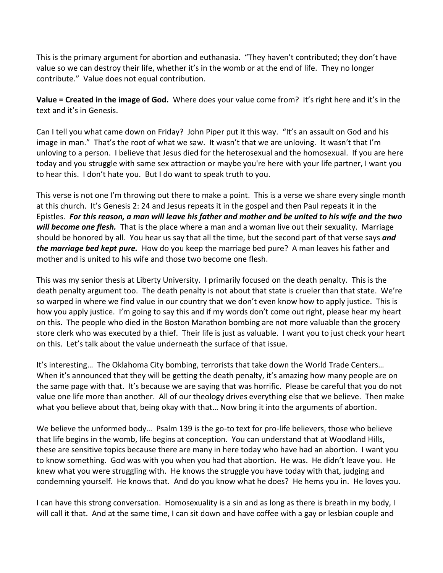This is the primary argument for abortion and euthanasia. "They haven't contributed; they don't have value so we can destroy their life, whether it's in the womb or at the end of life. They no longer contribute." Value does not equal contribution.

**Value = Created in the image of God.** Where does your value come from? It's right here and it's in the text and it's in Genesis.

Can I tell you what came down on Friday? John Piper put it this way. "It's an assault on God and his image in man." That's the root of what we saw. It wasn't that we are unloving. It wasn't that I'm unloving to a person. I believe that Jesus died for the heterosexual and the homosexual. If you are here today and you struggle with same sex attraction or maybe you're here with your life partner, I want you to hear this. I don't hate you. But I do want to speak truth to you.

This verse is not one I'm throwing out there to make a point. This is a verse we share every single month at this church. It's Genesis 2: 24 and Jesus repeats it in the gospel and then Paul repeats it in the Epistles. *For this reason, a man will leave his father and mother and be united to his wife and the two will become one flesh.* That is the place where a man and a woman live out their sexuality. Marriage should be honored by all. You hear us say that all the time, but the second part of that verse says *and the marriage bed kept pure.* How do you keep the marriage bed pure? A man leaves his father and mother and is united to his wife and those two become one flesh.

This was my senior thesis at Liberty University. I primarily focused on the death penalty. This is the death penalty argument too. The death penalty is not about that state is crueler than that state. We're so warped in where we find value in our country that we don't even know how to apply justice. This is how you apply justice. I'm going to say this and if my words don't come out right, please hear my heart on this. The people who died in the Boston Marathon bombing are not more valuable than the grocery store clerk who was executed by a thief. Their life is just as valuable. I want you to just check your heart on this. Let's talk about the value underneath the surface of that issue.

It's interesting… The Oklahoma City bombing, terrorists that take down the World Trade Centers… When it's announced that they will be getting the death penalty, it's amazing how many people are on the same page with that. It's because we are saying that was horrific. Please be careful that you do not value one life more than another. All of our theology drives everything else that we believe. Then make what you believe about that, being okay with that… Now bring it into the arguments of abortion.

We believe the unformed body… Psalm 139 is the go-to text for pro-life believers, those who believe that life begins in the womb, life begins at conception. You can understand that at Woodland Hills, these are sensitive topics because there are many in here today who have had an abortion. I want you to know something. God was with you when you had that abortion. He was. He didn't leave you. He knew what you were struggling with. He knows the struggle you have today with that, judging and condemning yourself. He knows that. And do you know what he does? He hems you in. He loves you.

I can have this strong conversation. Homosexuality is a sin and as long as there is breath in my body, I will call it that. And at the same time, I can sit down and have coffee with a gay or lesbian couple and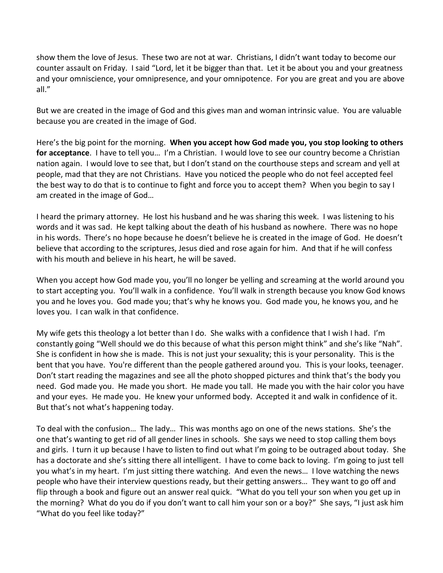show them the love of Jesus. These two are not at war. Christians, I didn't want today to become our counter assault on Friday. I said "Lord, let it be bigger than that. Let it be about you and your greatness and your omniscience, your omnipresence, and your omnipotence. For you are great and you are above all."

But we are created in the image of God and this gives man and woman intrinsic value. You are valuable because you are created in the image of God.

Here's the big point for the morning. **When you accept how God made you, you stop looking to others for acceptance**. I have to tell you… I'm a Christian. I would love to see our country become a Christian nation again. I would love to see that, but I don't stand on the courthouse steps and scream and yell at people, mad that they are not Christians. Have you noticed the people who do not feel accepted feel the best way to do that is to continue to fight and force you to accept them? When you begin to say I am created in the image of God…

I heard the primary attorney. He lost his husband and he was sharing this week. I was listening to his words and it was sad. He kept talking about the death of his husband as nowhere. There was no hope in his words. There's no hope because he doesn't believe he is created in the image of God. He doesn't believe that according to the scriptures, Jesus died and rose again for him. And that if he will confess with his mouth and believe in his heart, he will be saved.

When you accept how God made you, you'll no longer be yelling and screaming at the world around you to start accepting you. You'll walk in a confidence. You'll walk in strength because you know God knows you and he loves you. God made you; that's why he knows you. God made you, he knows you, and he loves you. I can walk in that confidence.

My wife gets this theology a lot better than I do. She walks with a confidence that I wish I had. I'm constantly going "Well should we do this because of what this person might think" and she's like "Nah". She is confident in how she is made. This is not just your sexuality; this is your personality. This is the bent that you have. You're different than the people gathered around you. This is your looks, teenager. Don't start reading the magazines and see all the photo shopped pictures and think that's the body you need. God made you. He made you short. He made you tall. He made you with the hair color you have and your eyes. He made you. He knew your unformed body. Accepted it and walk in confidence of it. But that's not what's happening today.

To deal with the confusion… The lady… This was months ago on one of the news stations. She's the one that's wanting to get rid of all gender lines in schools. She says we need to stop calling them boys and girls. I turn it up because I have to listen to find out what I'm going to be outraged about today. She has a doctorate and she's sitting there all intelligent. I have to come back to loving. I'm going to just tell you what's in my heart. I'm just sitting there watching. And even the news… I love watching the news people who have their interview questions ready, but their getting answers… They want to go off and flip through a book and figure out an answer real quick. "What do you tell your son when you get up in the morning? What do you do if you don't want to call him your son or a boy?" She says, "I just ask him "What do you feel like today?"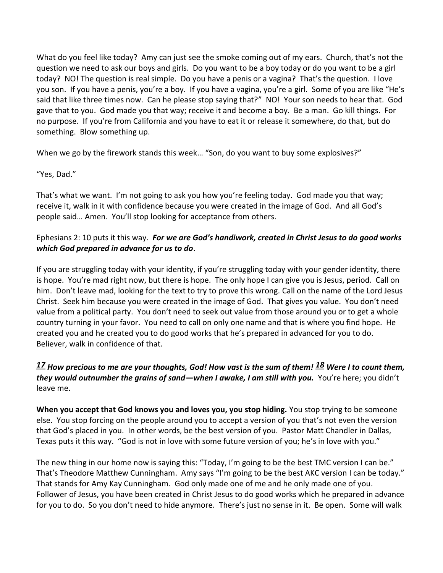What do you feel like today? Amy can just see the smoke coming out of my ears. Church, that's not the question we need to ask our boys and girls. Do you want to be a boy today or do you want to be a girl today? NO! The question is real simple. Do you have a penis or a vagina? That's the question. I love you son. If you have a penis, you're a boy. If you have a vagina, you're a girl. Some of you are like "He's said that like three times now. Can he please stop saying that?" NO! Your son needs to hear that. God gave that to you. God made you that way; receive it and become a boy. Be a man. Go kill things. For no purpose. If you're from California and you have to eat it or release it somewhere, do that, but do something. Blow something up.

When we go by the firework stands this week… "Son, do you want to buy some explosives?"

#### "Yes, Dad."

That's what we want. I'm not going to ask you how you're feeling today. God made you that way; receive it, walk in it with confidence because you were created in the image of God. And all God's people said… Amen. You'll stop looking for acceptance from others.

## Ephesians 2: 10 puts it this way. *For we are God's handiwork, created in Christ Jesus to do good works which God prepared in advance for us to do*.

If you are struggling today with your identity, if you're struggling today with your gender identity, there is hope. You're mad right now, but there is hope. The only hope I can give you is Jesus, period. Call on him. Don't leave mad, looking for the text to try to prove this wrong. Call on the name of the Lord Jesus Christ. Seek him because you were created in the image of God. That gives you value. You don't need value from a political party. You don't need to seek out value from those around you or to get a whole country turning in your favor. You need to call on only one name and that is where you find hope. He created you and he created you to do good works that he's prepared in advanced for you to do. Believer, walk in confidence of that.

## *[17](http://www.studylight.org/desk/?q=ps%20139:17&t1=en_niv&sr=1) How precious to me are your thoughts, God! How vast is the sum of them! [18](http://www.studylight.org/desk/?q=ps%20139:18&t1=en_niv&sr=1) Were I to count them, they would outnumber the grains of sand—when I awake, I am still with you.* You're here; you didn't leave me.

**When you accept that God knows you and loves you, you stop hiding.** You stop trying to be someone else. You stop forcing on the people around you to accept a version of you that's not even the version that God's placed in you. In other words, be the best version of you. Pastor Matt Chandler in Dallas, Texas puts it this way. "God is not in love with some future version of you; he's in love with you."

The new thing in our home now is saying this: "Today, I'm going to be the best TMC version I can be." That's Theodore Matthew Cunningham. Amy says "I'm going to be the best AKC version I can be today." That stands for Amy Kay Cunningham. God only made one of me and he only made one of you. Follower of Jesus, you have been created in Christ Jesus to do good works which he prepared in advance for you to do. So you don't need to hide anymore. There's just no sense in it. Be open. Some will walk